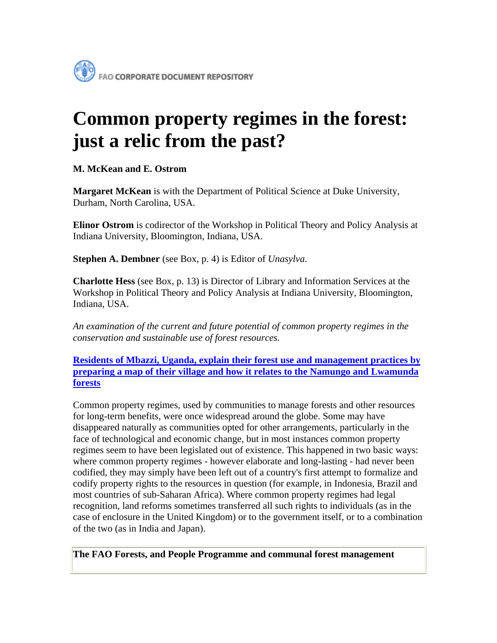# **Common property regimes in the forest: just a relic from the past?**

**M. McKean and E. Ostrom**

**Margaret McKean** is with the Department of Political Science at Duke University, Durham, North Carolina, USA.

**Elinor Ostrom** is codirector of the Workshop in Political Theory and Policy Analysis at Indiana University, Bloomington, Indiana, USA.

**Stephen A. Dembner** (see Box, p. 4) is Editor of *Unasylva*.

**Charlotte Hess** (see Box, p. 13) is Director of Library and Information Services at the Workshop in Political Theory and Policy Analysis at Indiana University, Bloomington, Indiana, USA.

*An examination of the current and future potential of common property regimes in the conservation and sustainable use of forest resources.*

**[Residents of Mbazzi, Uganda, explain their forest use and management practices by](http://www.fao.org/docrep/v3960e/v3960e00.jpg)  [preparing a map of their village and how it relates to the Namungo and Lwamunda](http://www.fao.org/docrep/v3960e/v3960e00.jpg)  [forests](http://www.fao.org/docrep/v3960e/v3960e00.jpg)**

Common property regimes, used by communities to manage forests and other resources for long-term benefits, were once widespread around the globe. Some may have disappeared naturally as communities opted for other arrangements, particularly in the face of technological and economic change, but in most instances common property regimes seem to have been legislated out of existence. This happened in two basic ways: where common property regimes - however elaborate and long-lasting - had never been codified, they may simply have been left out of a country's first attempt to formalize and codify property rights to the resources in question (for example, in Indonesia, Brazil and most countries of sub-Saharan Africa). Where common property regimes had legal recognition, land reforms sometimes transferred all such rights to individuals (as in the case of enclosure in the United Kingdom) or to the government itself, or to a combination of the two (as in India and Japan).

**The FAO Forests, and People Programme and communal forest management**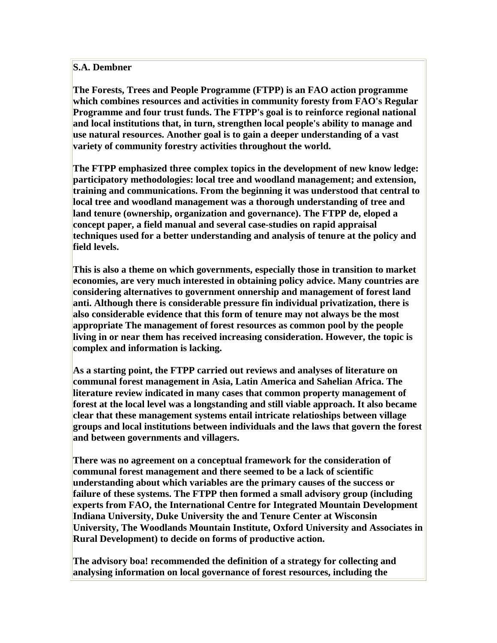### **S.A. Dembner**

**The Forests, Trees and People Programme (FTPP) is an FAO action programme which combines resources and activities in community foresty from FAO's Regular Programme and four trust funds. The FTPP's goal is to reinforce regional national and local institutions that, in turn, strengthen local people's ability to manage and use natural resources. Another goal is to gain a deeper understanding of a vast variety of community forestry activities throughout the world.**

**The FTPP emphasized three complex topics in the development of new know ledge: participatory methodologies: local tree and woodland management; and extension, training and communications. From the beginning it was understood that central to local tree and woodland management was a thorough understanding of tree and land tenure (ownership, organization and governance). The FTPP de, eloped a concept paper, a field manual and several case-studies on rapid appraisal techniques used for a better understanding and analysis of tenure at the policy and field levels.**

**This is also a theme on which governments, especially those in transition to market economies, are very much interested in obtaining policy advice. Many countries are considering alternatives to government onnership and management of forest land anti. Although there is considerable pressure fin individual privatization, there is also considerable evidence that this form of tenure may not always be the most appropriate The management of forest resources as common pool by the people living in or near them has received increasing consideration. However, the topic is complex and information is lacking.**

**As a starting point, the FTPP carried out reviews and analyses of literature on communal forest management in Asia, Latin America and Sahelian Africa. The literature review indicated in many cases that common property management of forest at the local level was a longstanding and still viable approach. It also became clear that these management systems entail intricate relatioships between village groups and local institutions between individuals and the laws that govern the forest and between governments and villagers.**

**There was no agreement on a conceptual framework for the consideration of communal forest management and there seemed to be a lack of scientific understanding about which variables are the primary causes of the success or failure of these systems. The FTPP then formed a small advisory group (including experts from FAO, the International Centre for Integrated Mountain Development Indiana University, Duke University the and Tenure Center at Wisconsin University, The Woodlands Mountain Institute, Oxford University and Associates in Rural Development) to decide on forms of productive action.**

**The advisory boa! recommended the definition of a strategy for collecting and analysing information on local governance of forest resources, including the**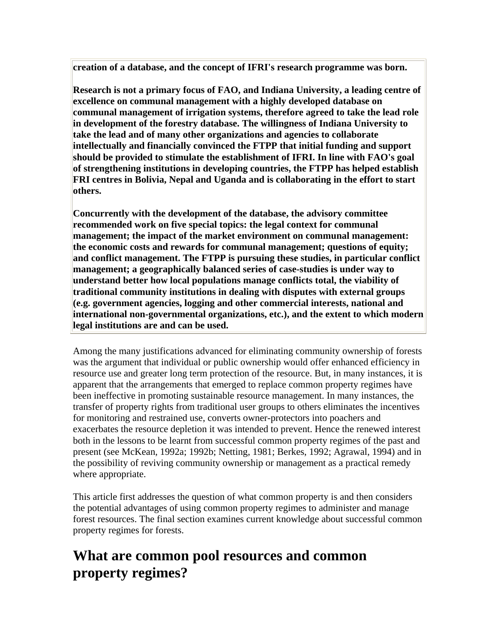**creation of a database, and the concept of IFRI's research programme was born.**

**Research is not a primary focus of FAO, and Indiana University, a leading centre of excellence on communal management with a highly developed database on communal management of irrigation systems, therefore agreed to take the lead role in development of the forestry database. The willingness of Indiana University to take the lead and of many other organizations and agencies to collaborate intellectually and financially convinced the FTPP that initial funding and support should be provided to stimulate the establishment of IFRI. In line with FAO's goal of strengthening institutions in developing countries, the FTPP has helped establish FRI centres in Bolivia, Nepal and Uganda and is collaborating in the effort to start others.**

**Concurrently with the development of the database, the advisory committee recommended work on five special topics: the legal context for communal management; the impact of the market environment on communal management: the economic costs and rewards for communal management; questions of equity; and conflict management. The FTPP is pursuing these studies, in particular conflict management; a geographically balanced series of case-studies is under way to understand better how local populations manage conflicts total, the viability of traditional community institutions in dealing with disputes with external groups (e.g. government agencies, logging and other commercial interests, national and international non-governmental organizations, etc.), and the extent to which modern legal institutions are and can be used.**

Among the many justifications advanced for eliminating community ownership of forests was the argument that individual or public ownership would offer enhanced efficiency in resource use and greater long term protection of the resource. But, in many instances, it is apparent that the arrangements that emerged to replace common property regimes have been ineffective in promoting sustainable resource management. In many instances, the transfer of property rights from traditional user groups to others eliminates the incentives for monitoring and restrained use, converts owner-protectors into poachers and exacerbates the resource depletion it was intended to prevent. Hence the renewed interest both in the lessons to be learnt from successful common property regimes of the past and present (see McKean, 1992a; 1992b; Netting, 1981; Berkes, 1992; Agrawal, 1994) and in the possibility of reviving community ownership or management as a practical remedy where appropriate.

This article first addresses the question of what common property is and then considers the potential advantages of using common property regimes to administer and manage forest resources. The final section examines current knowledge about successful common property regimes for forests.

### **What are common pool resources and common property regimes?**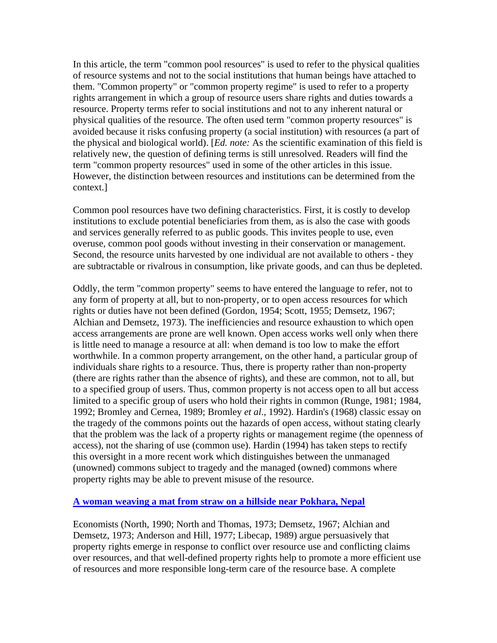In this article, the term "common pool resources" is used to refer to the physical qualities of resource systems and not to the social institutions that human beings have attached to them. "Common property" or "common property regime" is used to refer to a property rights arrangement in which a group of resource users share rights and duties towards a resource. Property terms refer to social institutions and not to any inherent natural or physical qualities of the resource. The often used term "common property resources" is avoided because it risks confusing property (a social institution) with resources (a part of the physical and biological world). [*Ed. note:* As the scientific examination of this field is relatively new, the question of defining terms is still unresolved. Readers will find the term "common property resources" used in some of the other articles in this issue. However, the distinction between resources and institutions can be determined from the context.]

Common pool resources have two defining characteristics. First, it is costly to develop institutions to exclude potential beneficiaries from them, as is also the case with goods and services generally referred to as public goods. This invites people to use, even overuse, common pool goods without investing in their conservation or management. Second, the resource units harvested by one individual are not available to others - they are subtractable or rivalrous in consumption, like private goods, and can thus be depleted.

Oddly, the term "common property" seems to have entered the language to refer, not to any form of property at all, but to non-property, or to open access resources for which rights or duties have not been defined (Gordon, 1954; Scott, 1955; Demsetz, 1967; Alchian and Demsetz, 1973). The inefficiencies and resource exhaustion to which open access arrangements are prone are well known. Open access works well only when there is little need to manage a resource at all: when demand is too low to make the effort worthwhile. In a common property arrangement, on the other hand, a particular group of individuals share rights to a resource. Thus, there is property rather than non-property (there are rights rather than the absence of rights), and these are common, not to all, but to a specified group of users. Thus, common property is not access open to all but access limited to a specific group of users who hold their rights in common (Runge, 1981; 1984, 1992; Bromley and Cernea, 1989; Bromley *et al*., 1992). Hardin's (1968) classic essay on the tragedy of the commons points out the hazards of open access, without stating clearly that the problem was the lack of a property rights or management regime (the openness of access), not the sharing of use (common use). Hardin (1994) has taken steps to rectify this oversight in a more recent work which distinguishes between the unmanaged (unowned) commons subject to tragedy and the managed (owned) commons where property rights may be able to prevent misuse of the resource.

### **[A woman weaving a mat from straw on a hillside near Pokhara, Nepal](http://www.fao.org/docrep/v3960e/v3960e01.jpg)**

Economists (North, 1990; North and Thomas, 1973; Demsetz, 1967; Alchian and Demsetz, 1973; Anderson and Hill, 1977; Libecap, 1989) argue persuasively that property rights emerge in response to conflict over resource use and conflicting claims over resources, and that well-defined property rights help to promote a more efficient use of resources and more responsible long-term care of the resource base. A complete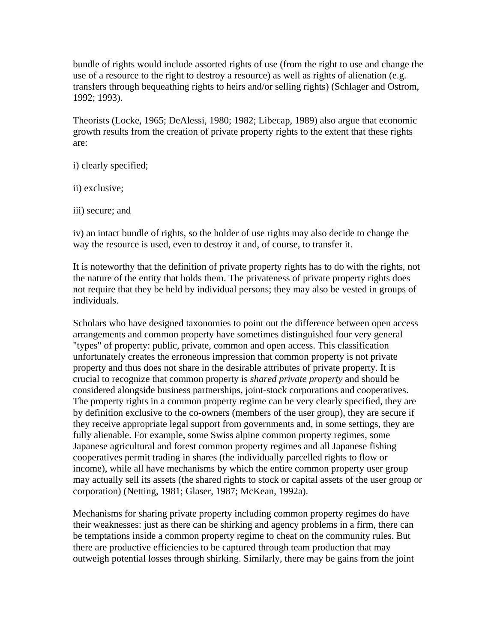bundle of rights would include assorted rights of use (from the right to use and change the use of a resource to the right to destroy a resource) as well as rights of alienation (e.g. transfers through bequeathing rights to heirs and/or selling rights) (Schlager and Ostrom, 1992; 1993).

Theorists (Locke, 1965; DeAlessi, 1980; 1982; Libecap, 1989) also argue that economic growth results from the creation of private property rights to the extent that these rights are:

- i) clearly specified;
- ii) exclusive;
- iii) secure; and

iv) an intact bundle of rights, so the holder of use rights may also decide to change the way the resource is used, even to destroy it and, of course, to transfer it.

It is noteworthy that the definition of private property rights has to do with the rights, not the nature of the entity that holds them. The privateness of private property rights does not require that they be held by individual persons; they may also be vested in groups of individuals.

Scholars who have designed taxonomies to point out the difference between open access arrangements and common property have sometimes distinguished four very general "types" of property: public, private, common and open access. This classification unfortunately creates the erroneous impression that common property is not private property and thus does not share in the desirable attributes of private property. It is crucial to recognize that common property is *shared private property* and should be considered alongside business partnerships, joint-stock corporations and cooperatives. The property rights in a common property regime can be very clearly specified, they are by definition exclusive to the co-owners (members of the user group), they are secure if they receive appropriate legal support from governments and, in some settings, they are fully alienable. For example, some Swiss alpine common property regimes, some Japanese agricultural and forest common property regimes and all Japanese fishing cooperatives permit trading in shares (the individually parcelled rights to flow or income), while all have mechanisms by which the entire common property user group may actually sell its assets (the shared rights to stock or capital assets of the user group or corporation) (Netting, 1981; Glaser, 1987; McKean, 1992a).

Mechanisms for sharing private property including common property regimes do have their weaknesses: just as there can be shirking and agency problems in a firm, there can be temptations inside a common property regime to cheat on the community rules. But there are productive efficiencies to be captured through team production that may outweigh potential losses through shirking. Similarly, there may be gains from the joint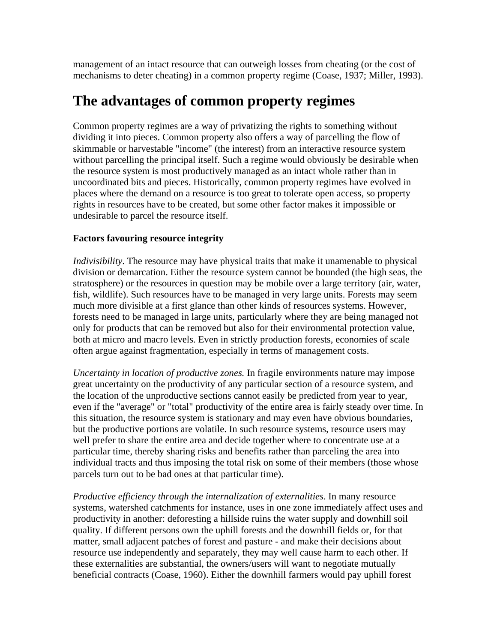management of an intact resource that can outweigh losses from cheating (or the cost of mechanisms to deter cheating) in a common property regime (Coase, 1937; Miller, 1993).

### **The advantages of common property regimes**

Common property regimes are a way of privatizing the rights to something without dividing it into pieces. Common property also offers a way of parcelling the flow of skimmable or harvestable "income" (the interest) from an interactive resource system without parcelling the principal itself. Such a regime would obviously be desirable when the resource system is most productively managed as an intact whole rather than in uncoordinated bits and pieces. Historically, common property regimes have evolved in places where the demand on a resource is too great to tolerate open access, so property rights in resources have to be created, but some other factor makes it impossible or undesirable to parcel the resource itself.

### **Factors favouring resource integrity**

*Indivisibility*. The resource may have physical traits that make it unamenable to physical division or demarcation. Either the resource system cannot be bounded (the high seas, the stratosphere) or the resources in question may be mobile over a large territory (air, water, fish, wildlife). Such resources have to be managed in very large units. Forests may seem much more divisible at a first glance than other kinds of resources systems. However, forests need to be managed in large units, particularly where they are being managed not only for products that can be removed but also for their environmental protection value, both at micro and macro levels. Even in strictly production forests, economies of scale often argue against fragmentation, especially in terms of management costs.

*Uncertainty in location of productive zones.* In fragile environments nature may impose great uncertainty on the productivity of any particular section of a resource system, and the location of the unproductive sections cannot easily be predicted from year to year, even if the "average" or "total" productivity of the entire area is fairly steady over time. In this situation, the resource system is stationary and may even have obvious boundaries, but the productive portions are volatile. In such resource systems, resource users may well prefer to share the entire area and decide together where to concentrate use at a particular time, thereby sharing risks and benefits rather than parceling the area into individual tracts and thus imposing the total risk on some of their members (those whose parcels turn out to be bad ones at that particular time).

*Productive efficiency through the internalization of externalities*. In many resource systems, watershed catchments for instance, uses in one zone immediately affect uses and productivity in another: deforesting a hillside ruins the water supply and downhill soil quality. If different persons own the uphill forests and the downhill fields or, for that matter, small adjacent patches of forest and pasture - and make their decisions about resource use independently and separately, they may well cause harm to each other. If these externalities are substantial, the owners/users will want to negotiate mutually beneficial contracts (Coase, 1960). Either the downhill farmers would pay uphill forest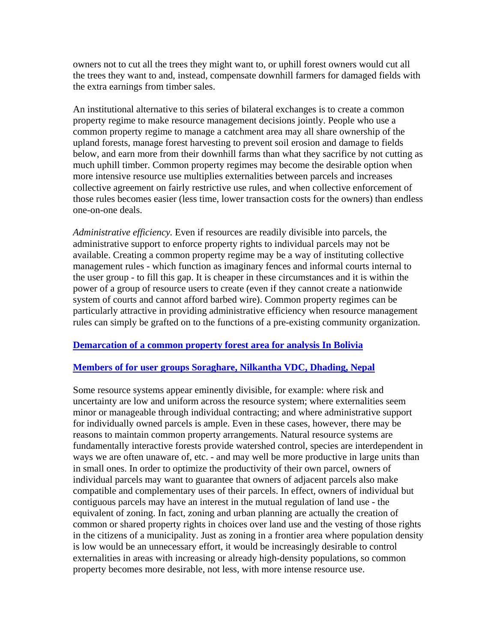owners not to cut all the trees they might want to, or uphill forest owners would cut all the trees they want to and, instead, compensate downhill farmers for damaged fields with the extra earnings from timber sales.

An institutional alternative to this series of bilateral exchanges is to create a common property regime to make resource management decisions jointly. People who use a common property regime to manage a catchment area may all share ownership of the upland forests, manage forest harvesting to prevent soil erosion and damage to fields below, and earn more from their downhill farms than what they sacrifice by not cutting as much uphill timber. Common property regimes may become the desirable option when more intensive resource use multiplies externalities between parcels and increases collective agreement on fairly restrictive use rules, and when collective enforcement of those rules becomes easier (less time, lower transaction costs for the owners) than endless one-on-one deals.

*Administrative efficiency.* Even if resources are readily divisible into parcels, the administrative support to enforce property rights to individual parcels may not be available. Creating a common property regime may be a way of instituting collective management rules - which function as imaginary fences and informal courts internal to the user group - to fill this gap. It is cheaper in these circumstances and it is within the power of a group of resource users to create (even if they cannot create a nationwide system of courts and cannot afford barbed wire). Common property regimes can be particularly attractive in providing administrative efficiency when resource management rules can simply be grafted on to the functions of a pre-existing community organization.

### **[Demarcation of a common property forest area for analysis In Bolivia](http://www.fao.org/docrep/v3960e/v3960e02.jpg)**

#### **[Members of for user groups Soraghare, Nilkantha VDC, Dhading, Nepal](http://www.fao.org/docrep/v3960e/v3960e03.jpg)**

Some resource systems appear eminently divisible, for example: where risk and uncertainty are low and uniform across the resource system; where externalities seem minor or manageable through individual contracting; and where administrative support for individually owned parcels is ample. Even in these cases, however, there may be reasons to maintain common property arrangements. Natural resource systems are fundamentally interactive forests provide watershed control, species are interdependent in ways we are often unaware of, etc. - and may well be more productive in large units than in small ones. In order to optimize the productivity of their own parcel, owners of individual parcels may want to guarantee that owners of adjacent parcels also make compatible and complementary uses of their parcels. In effect, owners of individual but contiguous parcels may have an interest in the mutual regulation of land use - the equivalent of zoning. In fact, zoning and urban planning are actually the creation of common or shared property rights in choices over land use and the vesting of those rights in the citizens of a municipality. Just as zoning in a frontier area where population density is low would be an unnecessary effort, it would be increasingly desirable to control externalities in areas with increasing or already high-density populations, so common property becomes more desirable, not less, with more intense resource use.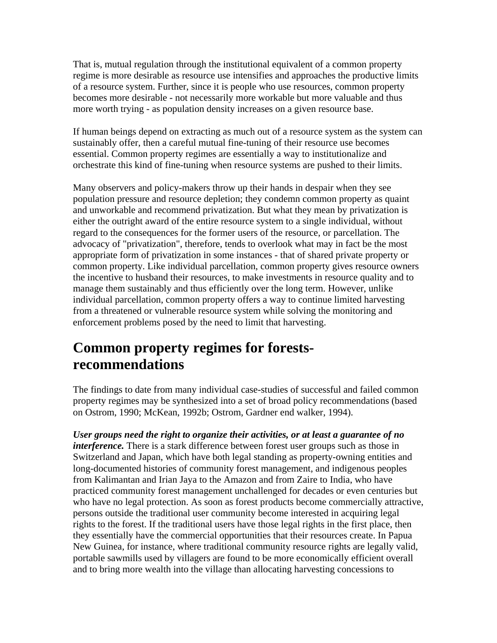That is, mutual regulation through the institutional equivalent of a common property regime is more desirable as resource use intensifies and approaches the productive limits of a resource system. Further, since it is people who use resources, common property becomes more desirable - not necessarily more workable but more valuable and thus more worth trying - as population density increases on a given resource base.

If human beings depend on extracting as much out of a resource system as the system can sustainably offer, then a careful mutual fine-tuning of their resource use becomes essential. Common property regimes are essentially a way to institutionalize and orchestrate this kind of fine-tuning when resource systems are pushed to their limits.

Many observers and policy-makers throw up their hands in despair when they see population pressure and resource depletion; they condemn common property as quaint and unworkable and recommend privatization. But what they mean by privatization is either the outright award of the entire resource system to a single individual, without regard to the consequences for the former users of the resource, or parcellation. The advocacy of "privatization", therefore, tends to overlook what may in fact be the most appropriate form of privatization in some instances - that of shared private property or common property. Like individual parcellation, common property gives resource owners the incentive to husband their resources, to make investments in resource quality and to manage them sustainably and thus efficiently over the long term. However, unlike individual parcellation, common property offers a way to continue limited harvesting from a threatened or vulnerable resource system while solving the monitoring and enforcement problems posed by the need to limit that harvesting.

### **Common property regimes for forestsrecommendations**

The findings to date from many individual case-studies of successful and failed common property regimes may be synthesized into a set of broad policy recommendations (based on Ostrom, 1990; McKean, 1992b; Ostrom, Gardner end walker, 1994).

*User groups need the right to organize their activities, or at least a guarantee of no interference*. There is a stark difference between forest user groups such as those in Switzerland and Japan, which have both legal standing as property-owning entities and long-documented histories of community forest management, and indigenous peoples from Kalimantan and Irian Jaya to the Amazon and from Zaire to India, who have practiced community forest management unchallenged for decades or even centuries but who have no legal protection. As soon as forest products become commercially attractive, persons outside the traditional user community become interested in acquiring legal rights to the forest. If the traditional users have those legal rights in the first place, then they essentially have the commercial opportunities that their resources create. In Papua New Guinea, for instance, where traditional community resource rights are legally valid, portable sawmills used by villagers are found to be more economically efficient overall and to bring more wealth into the village than allocating harvesting concessions to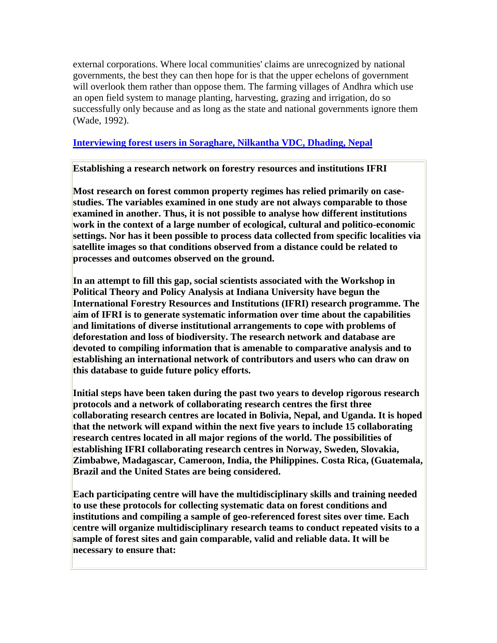external corporations. Where local communities' claims are unrecognized by national governments, the best they can then hope for is that the upper echelons of government will overlook them rather than oppose them. The farming villages of Andhra which use an open field system to manage planting, harvesting, grazing and irrigation, do so successfully only because and as long as the state and national governments ignore them (Wade, 1992).

### **[Interviewing forest users in Soraghare, Nilkantha VDC, Dhading, Nepal](http://www.fao.org/docrep/v3960e/v3960e04.jpg)**

#### **Establishing a research network on forestry resources and institutions IFRI**

**Most research on forest common property regimes has relied primarily on casestudies. The variables examined in one study are not always comparable to those examined in another. Thus, it is not possible to analyse how different institutions work in the context of a large number of ecological, cultural and politico-economic settings. Nor has it been possible to process data collected from specific localities via satellite images so that conditions observed from a distance could be related to processes and outcomes observed on the ground.**

**In an attempt to fill this gap, social scientists associated with the Workshop in Political Theory and Policy Analysis at Indiana University have begun the International Forestry Resources and Institutions (IFRI) research programme. The aim of IFRI is to generate systematic information over time about the capabilities and limitations of diverse institutional arrangements to cope with problems of deforestation and loss of biodiversity. The research network and database are devoted to compiling information that is amenable to comparative analysis and to establishing an international network of contributors and users who can draw on this database to guide future policy efforts.**

**Initial steps have been taken during the past two years to develop rigorous research protocols and a network of collaborating research centres the first three collaborating research centres are located in Bolivia, Nepal, and Uganda. It is hoped that the network will expand within the next five years to include 15 collaborating research centres located in all major regions of the world. The possibilities of establishing IFRI collaborating research centres in Norway, Sweden, Slovakia, Zimbabwe, Madagascar, Cameroon, India, the Philippines. Costa Rica, (Guatemala, Brazil and the United States are being considered.**

**Each participating centre will have the multidisciplinary skills and training needed to use these protocols for collecting systematic data on forest conditions and institutions and compiling a sample of geo-referenced forest sites over time. Each centre will organize multidisciplinary research teams to conduct repeated visits to a sample of forest sites and gain comparable, valid and reliable data. It will be necessary to ensure that:**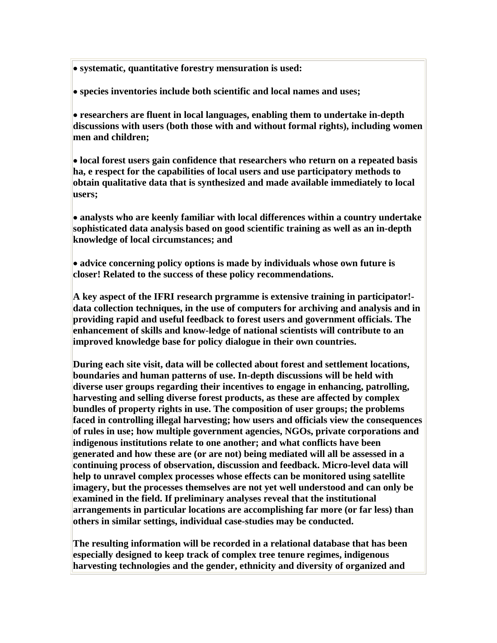• **systematic, quantitative forestry mensuration is used:**

• **species inventories include both scientific and local names and uses;**

• **researchers are fluent in local languages, enabling them to undertake in-depth discussions with users (both those with and without formal rights), including women men and children;**

• **local forest users gain confidence that researchers who return on a repeated basis ha, e respect for the capabilities of local users and use participatory methods to obtain qualitative data that is synthesized and made available immediately to local users;**

• **analysts who are keenly familiar with local differences within a country undertake sophisticated data analysis based on good scientific training as well as an in-depth knowledge of local circumstances; and**

• **advice concerning policy options is made by individuals whose own future is closer! Related to the success of these policy recommendations.**

**A key aspect of the IFRI research prgramme is extensive training in participator! data collection techniques, in the use of computers for archiving and analysis and in providing rapid and useful feedback to forest users and government officials. The enhancement of skills and know-ledge of national scientists will contribute to an improved knowledge base for policy dialogue in their own countries.**

**During each site visit, data will be collected about forest and settlement locations, boundaries and human patterns of use. In-depth discussions will be held with diverse user groups regarding their incentives to engage in enhancing, patrolling, harvesting and selling diverse forest products, as these are affected by complex bundles of property rights in use. The composition of user groups; the problems faced in controlling illegal harvesting; how users and officials view the consequences of rules in use; how multiple government agencies, NGOs, private corporations and indigenous institutions relate to one another; and what conflicts have been generated and how these are (or are not) being mediated will all be assessed in a continuing process of observation, discussion and feedback. Micro-level data will help to unravel complex processes whose effects can be monitored using satellite imagery, but the processes themselves are not yet well understood and can only be examined in the field. If preliminary analyses reveal that the institutional arrangements in particular locations are accomplishing far more (or far less) than others in similar settings, individual case-studies may be conducted.**

**The resulting information will be recorded in a relational database that has been especially designed to keep track of complex tree tenure regimes, indigenous harvesting technologies and the gender, ethnicity and diversity of organized and**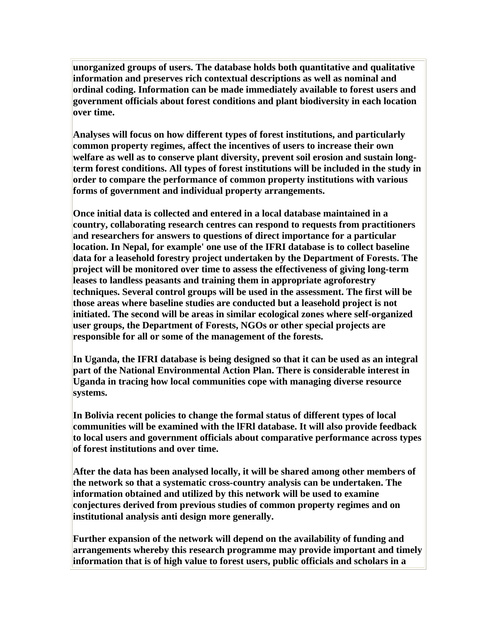**unorganized groups of users. The database holds both quantitative and qualitative information and preserves rich contextual descriptions as well as nominal and ordinal coding. Information can be made immediately available to forest users and government officials about forest conditions and plant biodiversity in each location over time.**

**Analyses will focus on how different types of forest institutions, and particularly common property regimes, affect the incentives of users to increase their own welfare as well as to conserve plant diversity, prevent soil erosion and sustain longterm forest conditions. All types of forest institutions will be included in the study in order to compare the performance of common property institutions with various forms of government and individual property arrangements.**

**Once initial data is collected and entered in a local database maintained in a country, collaborating research centres can respond to requests from practitioners and researchers for answers to questions of direct importance for a particular location. In Nepal, for example' one use of the IFRI database is to collect baseline data for a leasehold forestry project undertaken by the Department of Forests. The project will be monitored over time to assess the effectiveness of giving long-term leases to landless peasants and training them in appropriate agroforestry techniques. Several control groups will be used in the assessment. The first will be those areas where baseline studies are conducted but a leasehold project is not initiated. The second will be areas in similar ecological zones where self-organized user groups, the Department of Forests, NGOs or other special projects are responsible for all or some of the management of the forests.**

**In Uganda, the IFRI database is being designed so that it can be used as an integral part of the National Environmental Action Plan. There is considerable interest in Uganda in tracing how local communities cope with managing diverse resource systems.**

**In Bolivia recent policies to change the formal status of different types of local communities will be examined with the lFRl database. It will also provide feedback to local users and government officials about comparative performance across types of forest institutions and over time.**

**After the data has been analysed locally, it will be shared among other members of the network so that a systematic cross-country analysis can be undertaken. The information obtained and utilized by this network will be used to examine conjectures derived from previous studies of common property regimes and on institutional analysis anti design more generally.**

**Further expansion of the network will depend on the availability of funding and arrangements whereby this research programme may provide important and timely information that is of high value to forest users, public officials and scholars in a**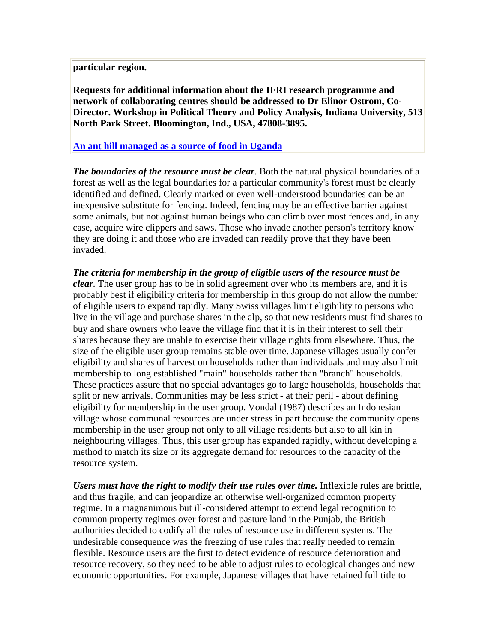### **particular region.**

**Requests for additional information about the IFRI research programme and network of collaborating centres should be addressed to Dr Elinor Ostrom, Co-Director. Workshop in Political Theory and Policy Analysis, Indiana University, 513 North Park Street. Bloomington, Ind., USA, 47808-3895.**

### **[An ant hill managed as a source of food in Uganda](http://www.fao.org/docrep/v3960e/v3960e05.jpg)**

*The boundaries of the resource must be clear.* Both the natural physical boundaries of a forest as well as the legal boundaries for a particular community's forest must be clearly identified and defined. Clearly marked or even well-understood boundaries can be an inexpensive substitute for fencing. Indeed, fencing may be an effective barrier against some animals, but not against human beings who can climb over most fences and, in any case, acquire wire clippers and saws. Those who invade another person's territory know they are doing it and those who are invaded can readily prove that they have been invaded.

*The criteria for membership in the group of eligible users of the resource must be clear.* The user group has to be in solid agreement over who its members are, and it is probably best if eligibility criteria for membership in this group do not allow the number of eligible users to expand rapidly. Many Swiss villages limit eligibility to persons who live in the village and purchase shares in the alp, so that new residents must find shares to buy and share owners who leave the village find that it is in their interest to sell their shares because they are unable to exercise their village rights from elsewhere. Thus, the size of the eligible user group remains stable over time. Japanese villages usually confer eligibility and shares of harvest on households rather than individuals and may also limit membership to long established "main" households rather than "branch" households. These practices assure that no special advantages go to large households, households that split or new arrivals. Communities may be less strict - at their peril - about defining eligibility for membership in the user group. Vondal (1987) describes an Indonesian village whose communal resources are under stress in part because the community opens membership in the user group not only to all village residents but also to all kin in neighbouring villages. Thus, this user group has expanded rapidly, without developing a method to match its size or its aggregate demand for resources to the capacity of the resource system.

*Users must have the right to modify their use rules over time.* Inflexible rules are brittle, and thus fragile, and can jeopardize an otherwise well-organized common property regime. In a magnanimous but ill-considered attempt to extend legal recognition to common property regimes over forest and pasture land in the Punjab, the British authorities decided to codify all the rules of resource use in different systems. The undesirable consequence was the freezing of use rules that really needed to remain flexible. Resource users are the first to detect evidence of resource deterioration and resource recovery, so they need to be able to adjust rules to ecological changes and new economic opportunities. For example, Japanese villages that have retained full title to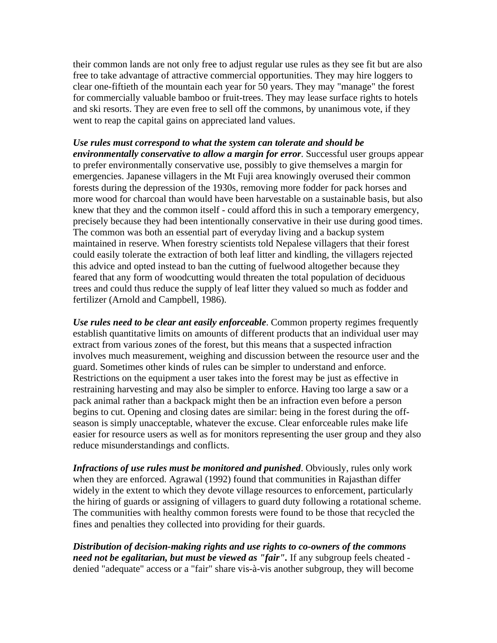their common lands are not only free to adjust regular use rules as they see fit but are also free to take advantage of attractive commercial opportunities. They may hire loggers to clear one-fiftieth of the mountain each year for 50 years. They may "manage" the forest for commercially valuable bamboo or fruit-trees. They may lease surface rights to hotels and ski resorts. They are even free to sell off the commons, by unanimous vote, if they went to reap the capital gains on appreciated land values.

### *Use rules must correspond to what the system can tolerate and should be environmentally conservative to allow a margin for error*. Successful user groups appear to prefer environmentally conservative use, possibly to give themselves a margin for emergencies. Japanese villagers in the Mt Fuji area knowingly overused their common forests during the depression of the 1930s, removing more fodder for pack horses and more wood for charcoal than would have been harvestable on a sustainable basis, but also knew that they and the common itself - could afford this in such a temporary emergency, precisely because they had been intentionally conservative in their use during good times. The common was both an essential part of everyday living and a backup system maintained in reserve. When forestry scientists told Nepalese villagers that their forest could easily tolerate the extraction of both leaf litter and kindling, the villagers rejected this advice and opted instead to ban the cutting of fuelwood altogether because they feared that any form of woodcutting would threaten the total population of deciduous trees and could thus reduce the supply of leaf litter they valued so much as fodder and fertilizer (Arnold and Campbell, 1986).

*Use rules need to be clear ant easily enforceable*. Common property regimes frequently establish quantitative limits on amounts of different products that an individual user may extract from various zones of the forest, but this means that a suspected infraction involves much measurement, weighing and discussion between the resource user and the guard. Sometimes other kinds of rules can be simpler to understand and enforce. Restrictions on the equipment a user takes into the forest may be just as effective in restraining harvesting and may also be simpler to enforce. Having too large a saw or a pack animal rather than a backpack might then be an infraction even before a person begins to cut. Opening and closing dates are similar: being in the forest during the offseason is simply unacceptable, whatever the excuse. Clear enforceable rules make life easier for resource users as well as for monitors representing the user group and they also reduce misunderstandings and conflicts.

*Infractions of use rules must be monitored and punished*. Obviously, rules only work when they are enforced. Agrawal (1992) found that communities in Rajasthan differ widely in the extent to which they devote village resources to enforcement, particularly the hiring of guards or assigning of villagers to guard duty following a rotational scheme. The communities with healthy common forests were found to be those that recycled the fines and penalties they collected into providing for their guards.

*Distribution of decision-making rights and use rights to co-owners of the commons need not be egalitarian, but must be viewed as "fair".* If any subgroup feels cheated denied "adequate" access or a "fair" share vis-à-vis another subgroup, they will become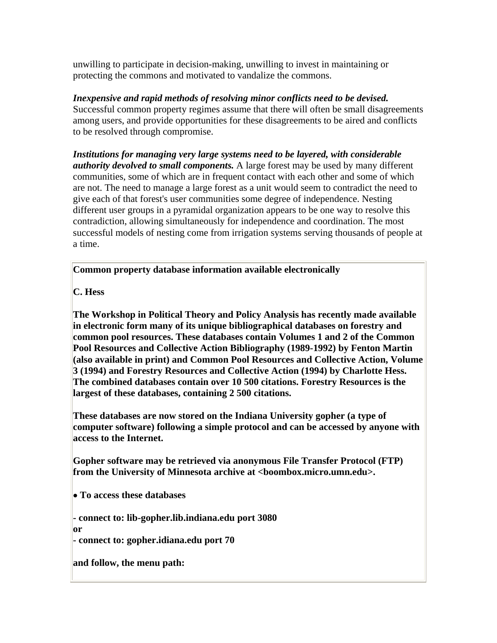unwilling to participate in decision-making, unwilling to invest in maintaining or protecting the commons and motivated to vandalize the commons.

*Inexpensive and rapid methods of resolving minor conflicts need to be devised.* Successful common property regimes assume that there will often be small disagreements among users, and provide opportunities for these disagreements to be aired and conflicts to be resolved through compromise.

*Institutions for managing very large systems need to be layered, with considerable authority devolved to small components.* A large forest may be used by many different communities, some of which are in frequent contact with each other and some of which are not. The need to manage a large forest as a unit would seem to contradict the need to give each of that forest's user communities some degree of independence. Nesting different user groups in a pyramidal organization appears to be one way to resolve this contradiction, allowing simultaneously for independence and coordination. The most successful models of nesting come from irrigation systems serving thousands of people at a time.

**Common property database information available electronically**

**C. Hess**

**The Workshop in Political Theory and Policy Analysis has recently made available in electronic form many of its unique bibliographical databases on forestry and common pool resources. These databases contain Volumes 1 and 2 of the Common Pool Resources and Collective Action Bibliography (1989-1992) by Fenton Martin (also available in print) and Common Pool Resources and Collective Action, Volume 3 (1994) and Forestry Resources and Collective Action (1994) by Charlotte Hess. The combined databases contain over 10 500 citations. Forestry Resources is the largest of these databases, containing 2 500 citations.**

**These databases are now stored on the Indiana University gopher (a type of computer software) following a simple protocol and can be accessed by anyone with access to the Internet.**

**Gopher software may be retrieved via anonymous File Transfer Protocol (FTP) from the University of Minnesota archive at <boombox.micro.umn.edu>.**

• **To access these databases**

**- connect to: lib-gopher.lib.indiana.edu port 3080**

**or**

**- connect to: gopher.idiana.edu port 70**

**and follow, the menu path:**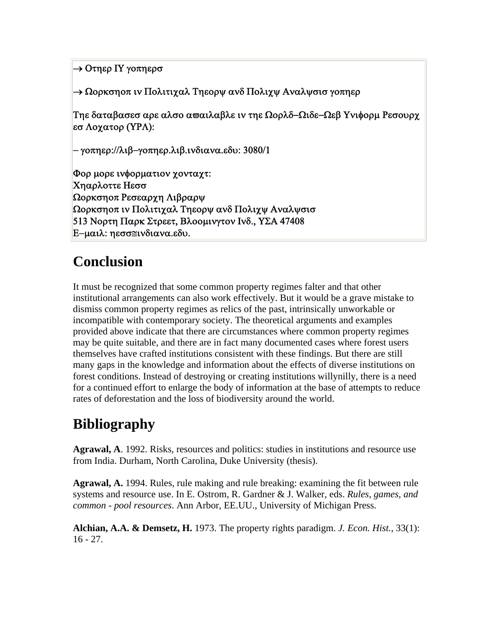```
→ Οτηερ ΙΥ γοπηερσ
```
→ Ωορκσηοπ ιν Πολιτιχαλ Τηεορψ ανδ Πολιχψ Αναλψσισ γοπηερ

Τηε δαταβασεσ αρε αλσο αϖαιλαβλε ιν τηε Ωορλδ−Ωιδε−Ωεβ Υνιφορμ Ρεσουρχ εσ Λοχατορ (ΥΡΛ):

```
− γοπηερ://λιβ−γοπηερ.λιβ.ινδιανα.εδυ: 3080/1
```
Φορ μορε ινφορματιον χονταχτ: Χηαρλοττε Ηεσσ Ωορκσηοπ Ρεσεαρχη Λιβραρψ Ωορκσηοπ ιν Πολιτιχαλ Τηεορψ ανδ Πολιχψ Αναλψσισ 513 Νορτη Παρκ Στρεετ, Βλοομινγτον Ινδ., ΥΣΑ 47408 Ε−μαιλ: ηεσσ≅ινδιανα.εδυ.

## **Conclusion**

It must be recognized that some common property regimes falter and that other institutional arrangements can also work effectively. But it would be a grave mistake to dismiss common property regimes as relics of the past, intrinsically unworkable or incompatible with contemporary society. The theoretical arguments and examples provided above indicate that there are circumstances where common property regimes may be quite suitable, and there are in fact many documented cases where forest users themselves have crafted institutions consistent with these findings. But there are still many gaps in the knowledge and information about the effects of diverse institutions on forest conditions. Instead of destroying or creating institutions willynilly, there is a need for a continued effort to enlarge the body of information at the base of attempts to reduce rates of deforestation and the loss of biodiversity around the world.

# **Bibliography**

**Agrawal, A**. 1992. Risks, resources and politics: studies in institutions and resource use from India. Durham, North Carolina, Duke University (thesis).

**Agrawal, A.** 1994. Rules, rule making and rule breaking: examining the fit between rule systems and resource use. In E. Ostrom, R. Gardner & J. Walker, eds. *Rules, games, and common - pool resources*. Ann Arbor, EE.UU., University of Michigan Press.

**Alchian, A.A. & Demsetz, H.** 1973. The property rights paradigm. *J. Econ. Hist.*, 33(1):  $16 - 27$ .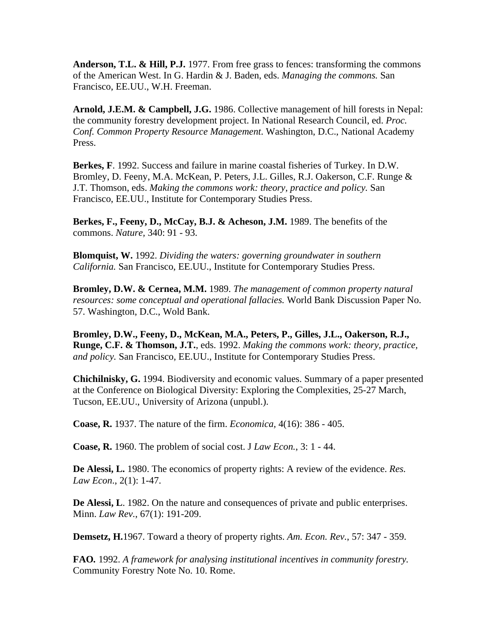**Anderson, T.L. & Hill, P.J.** 1977. From free grass to fences: transforming the commons of the American West. In G. Hardin & J. Baden, eds. *Managing the commons.* San Francisco, EE.UU., W.H. Freeman.

**Arnold, J.E.M. & Campbell, J.G.** 1986. Collective management of hill forests in Nepal: the community forestry development project. In National Research Council, ed. *Proc. Conf. Common Property Resource Management*. Washington, D.C., National Academy Press.

**Berkes, F**. 1992. Success and failure in marine coastal fisheries of Turkey. In D.W. Bromley, D. Feeny, M.A. McKean, P. Peters, J.L. Gilles, R.J. Oakerson, C.F. Runge & J.T. Thomson, eds. *Making the commons work: theory, practice and policy.* San Francisco, EE.UU., Institute for Contemporary Studies Press.

**Berkes, F., Feeny, D., McCay, B.J. & Acheson, J.M.** 1989. The benefits of the commons. *Nature,* 340: 91 - 93.

**Blomquist, W.** 1992. *Dividing the waters: governing groundwater in southern California.* San Francisco, EE.UU., Institute for Contemporary Studies Press.

**Bromley, D.W. & Cernea, M.M.** 1989. *The management of common property natural resources: some conceptual and operational fallacies.* World Bank Discussion Paper No. 57. Washington, D.C., Wold Bank.

**Bromley, D.W., Feeny, D., McKean, M.A., Peters, P., Gilles, J.L., Oakerson, R.J., Runge, C.F. & Thomson, J.T.**, eds. 1992. *Making the commons work: theory, practice, and policy.* San Francisco, EE.UU., Institute for Contemporary Studies Press.

**Chichilnisky, G.** 1994. Biodiversity and economic values. Summary of a paper presented at the Conference on Biological Diversity: Exploring the Complexities, 25-27 March, Tucson, EE.UU., University of Arizona (unpubl.).

**Coase, R.** 1937. The nature of the firm. *Economica,* 4(16): 386 - 405.

**Coase, R.** 1960. The problem of social cost. J *Law Econ.*, 3: 1 - 44.

**De Alessi, L.** 1980. The economics of property rights: A review of the evidence. *Res. Law Econ*., 2(1): 1-47.

**De Alessi, L**. 1982. On the nature and consequences of private and public enterprises. Minn. *Law Rev.*, 67(1): 191-209.

**Demsetz, H.**1967. Toward a theory of property rights. *Am. Econ. Rev.*, 57: 347 - 359.

**FAO***.* 1992. *A framework for analysing institutional incentives in community forestry.* Community Forestry Note No. 10. Rome.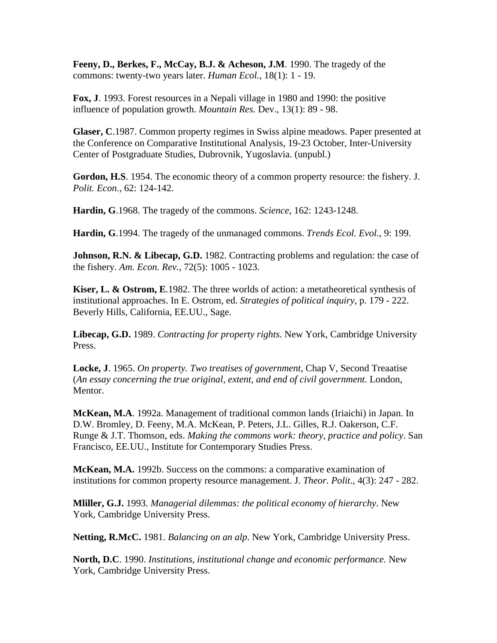**Feeny, D., Berkes, F., McCay, B.J. & Acheson, J.M**. 1990. The tragedy of the commons: twenty-two years later. *Human Ecol.*, 18(1): 1 - 19.

**Fox, J**. 1993. Forest resources in a Nepali village in 1980 and 1990: the positive influence of population growth. *Mountain Res.* Dev., 13(1): 89 - 98.

**Glaser, C**.1987. Common property regimes in Swiss alpine meadows. Paper presented at the Conference on Comparative Institutional Analysis, 19-23 October, Inter-University Center of Postgraduate Studies, Dubrovnik, Yugoslavia. (unpubl.)

**Gordon, H.S**. 1954. The economic theory of a common property resource: the fishery. J. *Polit. Econ.*, 62: 124-142.

**Hardin, G**.1968. The tragedy of the commons. *Science,* 162: 1243-1248.

**Hardin, G**.1994. The tragedy of the unmanaged commons. *Trends Ecol. Evol.,* 9: 199.

**Johnson, R.N. & Libecap, G.D.** 1982. Contracting problems and regulation: the case of the fishery. *Am. Econ. Rev.*, 72(5): 1005 - 1023.

**Kiser, L. & Ostrom, E**.1982. The three worlds of action: a metatheoretical synthesis of institutional approaches. In E. Ostrom, ed. *Strategies of political inquiry*, p. 179 - 222. Beverly Hills, California, EE.UU., Sage.

**Libecap, G.D.** 1989. *Contracting for property rights.* New York, Cambridge University Press.

**Locke, J**. 1965. *On property. Two treatises of government*, Chap V, Second Treaatise (*An essay concerning the true original, extent, and end of civil government*. London, Mentor.

**McKean, M.A**. 1992a. Management of traditional common lands (Iriaichi) in Japan. In D.W. Bromley, D. Feeny, M.A. McKean, P. Peters, J.L. Gilles, R.J. Oakerson, C.F. Runge & J.T. Thomson, eds. *Making the commons work: theory, practice and policy*. San Francisco, EE.UU., Institute for Contemporary Studies Press.

**McKean, M.A.** 1992b. Success on the commons: a comparative examination of institutions for common property resource management. J. *Theor. Polit*., 4(3): 247 - 282.

**Mliller, G.J.** 1993. *Managerial dilemmas: the political economy of hierarchy*. New York, Cambridge University Press.

**Netting, R.McC.** 1981. *Balancing on an alp*. New York, Cambridge University Press.

**North, D.C**. 1990. *Institutions, institutional change and economic performance.* New York, Cambridge University Press.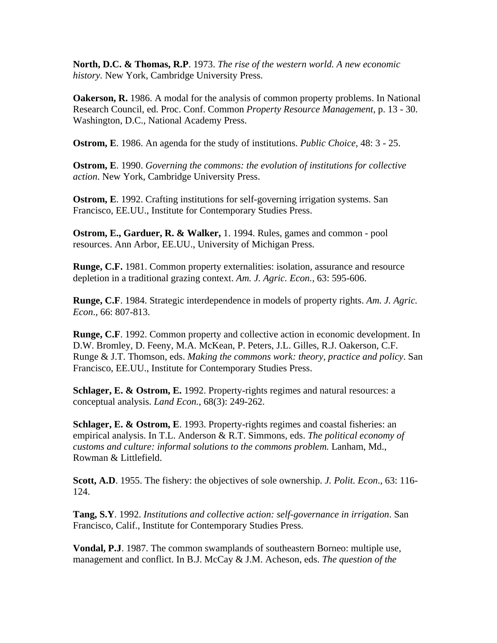**North, D.C. & Thomas, R.P**. 1973. *The rise of the western world. A new economic history.* New York, Cambridge University Press.

**Oakerson, R.** 1986. A modal for the analysis of common property problems. In National Research Council, ed. Proc. Conf. Common *Property Resource Management,* p. 13 - 30. Washington, D.C., National Academy Press.

**Ostrom, E**. 1986. An agenda for the study of institutions. *Public Choice,* 48: 3 - 25.

**Ostrom, E**. 1990. *Governing the commons: the evolution of institutions for collective action*. New York, Cambridge University Press.

**Ostrom, E.** 1992. Crafting institutions for self-governing irrigation systems. San Francisco, EE.UU., Institute for Contemporary Studies Press.

**Ostrom, E., Garduer, R. & Walker,** 1. 1994. Rules, games and common - pool resources. Ann Arbor, EE.UU., University of Michigan Press.

**Runge, C.F.** 1981. Common property externalities: isolation, assurance and resource depletion in a traditional grazing context. *Am. J. Agric. Econ.,* 63: 595-606.

**Runge, C.F**. 1984. Strategic interdependence in models of property rights. *Am. J. Agric. Econ*., 66: 807-813.

**Runge, C.F**. 1992. Common property and collective action in economic development. In D.W. Bromley, D. Feeny, M.A. McKean, P. Peters, J.L. Gilles, R.J. Oakerson, C.F. Runge & J.T. Thomson, eds. *Making the commons work: theory, practice and policy*. San Francisco, EE.UU., Institute for Contemporary Studies Press.

**Schlager, E. & Ostrom, E.** 1992. Property-rights regimes and natural resources: a conceptual analysis. *Land Econ.*, 68(3): 249-262.

**Schlager, E. & Ostrom, E**. 1993. Property-rights regimes and coastal fisheries: an empirical analysis. In T.L. Anderson & R.T. Simmons, eds. *The political economy of customs and culture: informal solutions to the commons problem.* Lanham, Md., Rowman & Littlefield.

**Scott, A.D**. 1955. The fishery: the objectives of sole ownership. *J. Polit. Econ*., 63: 116- 124.

**Tang, S.Y**. 1992. *Institutions and collective action: self-governance in irrigation*. San Francisco, Calif., Institute for Contemporary Studies Press.

**Vondal, P.J**. 1987. The common swamplands of southeastern Borneo: multiple use, management and conflict. In B.J. McCay & J.M. Acheson, eds. *The question of the*